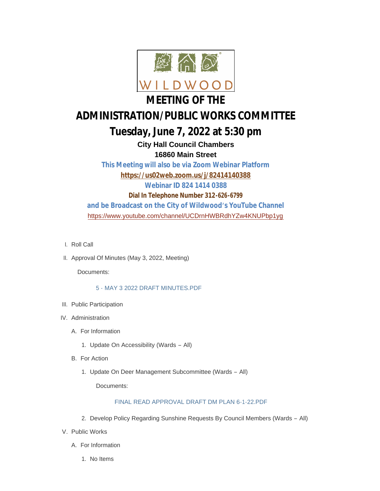

# **ADMINISTRATION/PUBLIC WORKS COMMITTEE**

## **Tuesday, June 7, 2022 at 5:30 pm**

**City Hall Council Chambers 16860 Main Street**

**This Meeting will also be via Zoom Webinar Platform <https://us02web.zoom.us/j/82414140388> Webinar ID 824 1414 0388 Dial In Telephone Number 312-626-6799 and be Broadcast on the City of Wildwood's YouTube Channel** <https://www.youtube.com/channel/UCDrnHWBRdhYZw4KNUPbp1yg>

- l. Roll Call
- II. Approval Of Minutes (May 3, 2022, Meeting)

Documents:

#### [5 - MAY 3 2022 DRAFT MINUTES.PDF](https://www.cityofwildwood.com/AgendaCenter/ViewFile/Item/32736?fileID=34803)

- III. Public Participation
- IV. Administration
	- A. For Information
		- 1. Update On Accessibility (Wards All)
	- **B.** For Action
		- 1. Update On Deer Management Subcommittee (Wards All)

Documents:

#### [FINAL READ APPROVAL DRAFT DM PLAN 6-1-22.PDF](https://www.cityofwildwood.com/AgendaCenter/ViewFile/Item/32720?fileID=34822)

- 2. Develop Policy Regarding Sunshine Requests By Council Members (Wards All)
- V. Public Works
	- A. For Information
		- 1. No Items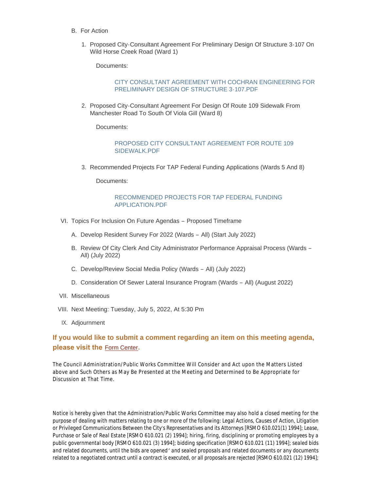- **B.** For Action
	- 1. Proposed City-Consultant Agreement For Preliminary Design Of Structure 3-107 On Wild Horse Creek Road (Ward 1)

Documents:

#### [CITY CONSULTANT AGREEMENT WITH COCHRAN ENGINEERING FOR](https://www.cityofwildwood.com/AgendaCenter/ViewFile/Item/32737?fileID=34816)  PRELIMINARY DESIGN OF STRUCTURE 3-107.PDF

2. Proposed City-Consultant Agreement For Design Of Route 109 Sidewalk From Manchester Road To South Of Viola Gill (Ward 8)

Documents:

[PROPOSED CITY CONSULTANT AGREEMENT FOR ROUTE 109](https://www.cityofwildwood.com/AgendaCenter/ViewFile/Item/32738?fileID=34817)  SIDEWALK.PDF

3. Recommended Projects For TAP Federal Funding Applications (Wards 5 And 8)

Documents:

#### [RECOMMENDED PROJECTS FOR TAP FEDERAL FUNDING](https://www.cityofwildwood.com/AgendaCenter/ViewFile/Item/32740?fileID=34819)  APPLICATION.PDF

- VI. Topics For Inclusion On Future Agendas Proposed Timeframe
	- A. Develop Resident Survey For 2022 (Wards All) (Start July 2022)
	- B. Review Of City Clerk And City Administrator Performance Appraisal Process (Wards -All) (July 2022)
	- C. Develop/Review Social Media Policy (Wards All) (July 2022)
	- Consideration Of Sewer Lateral Insurance Program (Wards All) (August 2022) D.
- VII. Miscellaneous
- VIII. Next Meeting: Tuesday, July 5, 2022, At 5:30 Pm
- IX. Adjournment

### **If you would like to submit a comment regarding an item on this meeting agenda, please visit the** [Form Center](https://www.cityofwildwood.com/FormCenter/City-Council-Comment-Forms-22/Council-Administration-and-Public-Works--153)**.**

The Council Administration/Public Works Committee Will Consider and Act upon the Matters Listed above and Such Others as May Be Presented at the Meeting and Determined to Be Appropriate for Discussion at That Time.

*Notice is hereby given that the Administration/Public Works Committee may also hold a closed meeting for the purpose of dealing with matters relating to one or more of the following: Legal Actions, Causes of Action, Litigation or Privileged Communications Between the City's Representatives and its Attorneys [RSMO 610.021(1) 1994]; Lease, Purchase or Sale of Real Estate [RSMO 610.021 (2) 1994]; hiring, firing, disciplining or promoting employees by a public governmental body [RSMO 610.021 (3) 1994]; bidding specification [RSMO 610.021 (11) 1994]; sealed bids and related documents, until the bids are opened' and sealed proposals and related documents or any documents related to a negotiated contract until a contract is executed, or all proposals are rejected [RSMO 610.021 (12) 1994];*